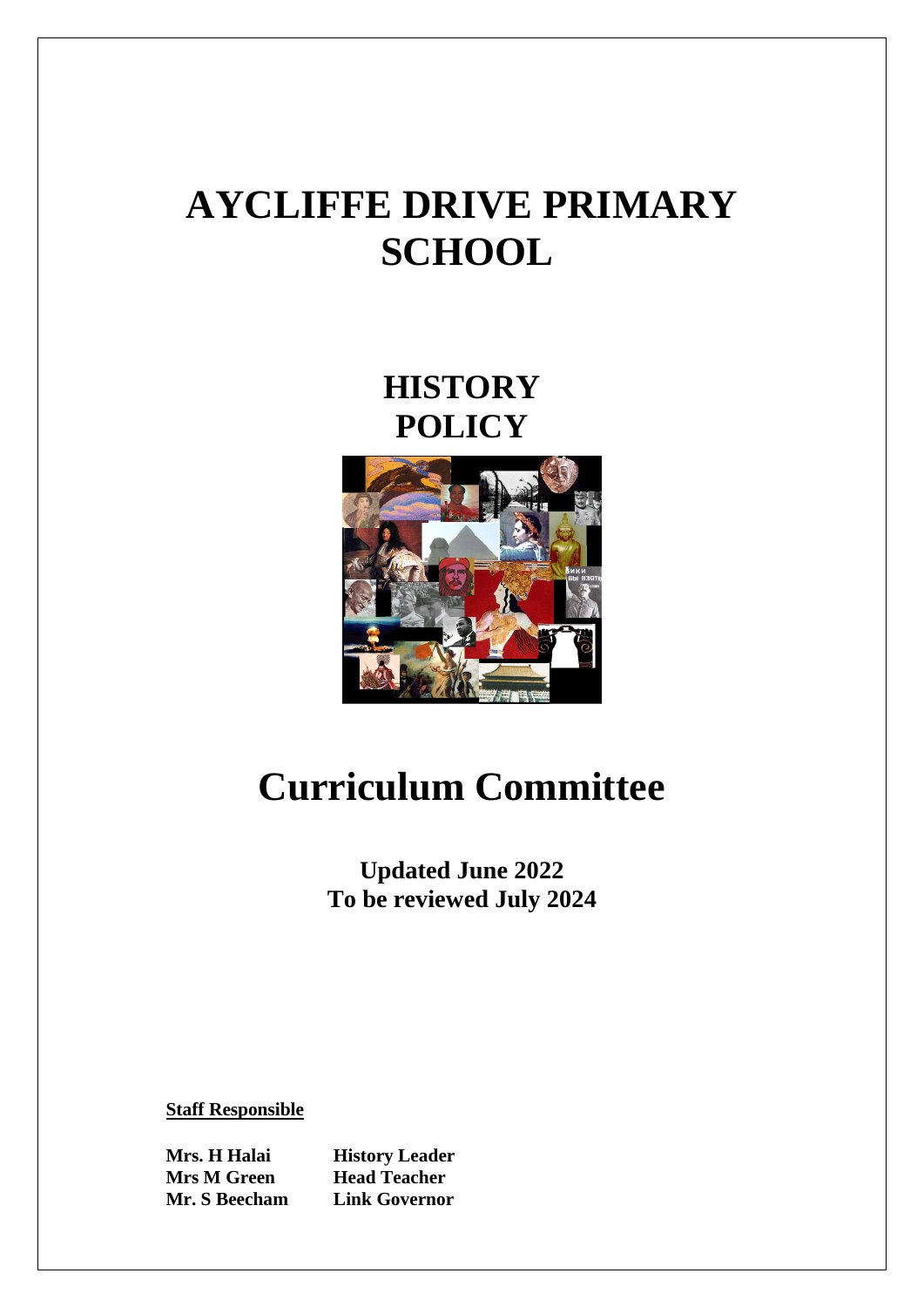# **AYCLIFFE DRIVE PRIMARY SCHOOL**

**HISTORY POLICY**



# **Curriculum Committee**

**Updated June 2022 To be reviewed July 2024**

**Staff Responsible**

**Mrs M Green Head Teacher** 

**Mrs. H Halai History Leader Mr. S Beecham Link Governor**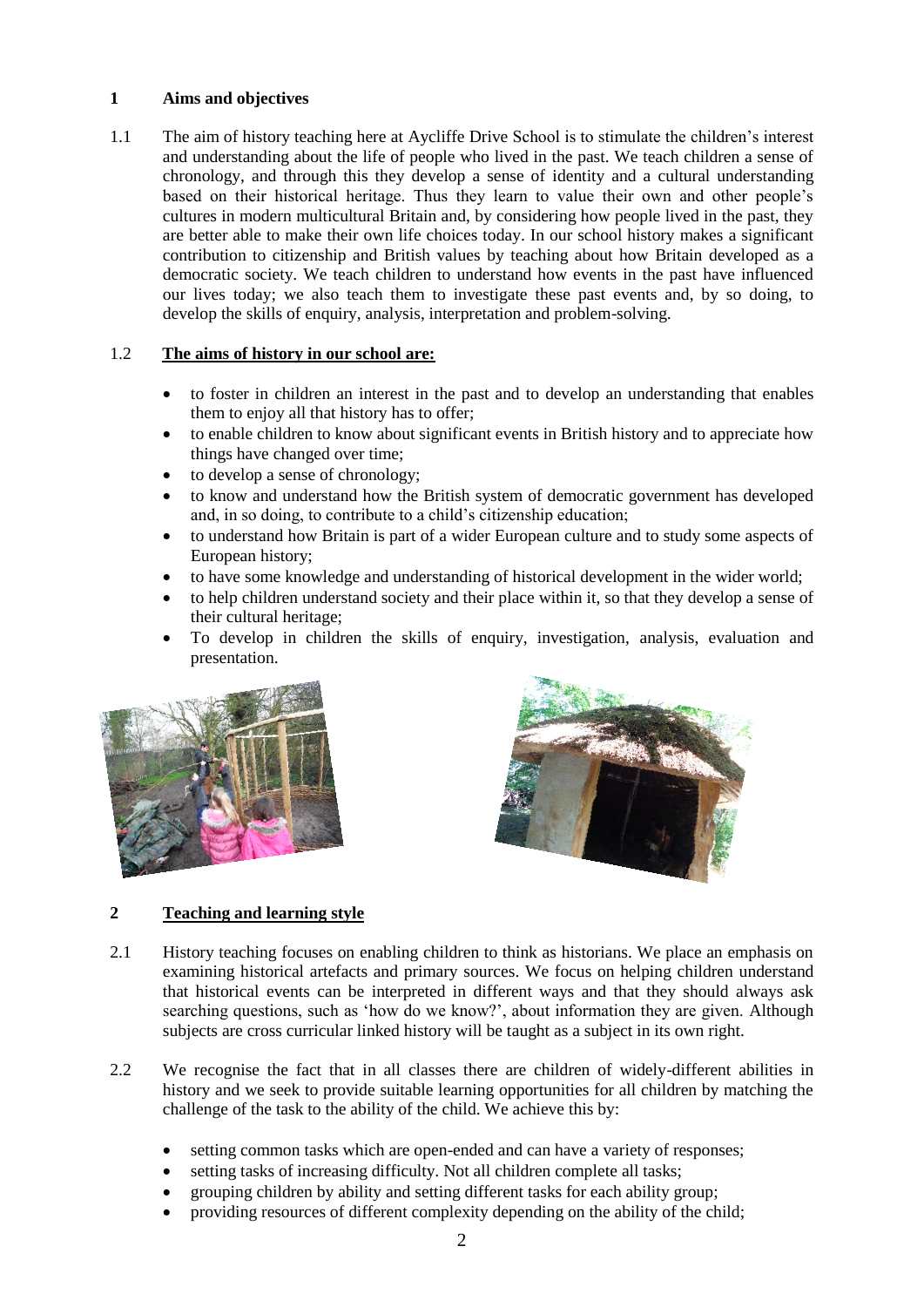#### **1 Aims and objectives**

1.1 The aim of history teaching here at Aycliffe Drive School is to stimulate the children's interest and understanding about the life of people who lived in the past. We teach children a sense of chronology, and through this they develop a sense of identity and a cultural understanding based on their historical heritage. Thus they learn to value their own and other people's cultures in modern multicultural Britain and, by considering how people lived in the past, they are better able to make their own life choices today. In our school history makes a significant contribution to citizenship and British values by teaching about how Britain developed as a democratic society. We teach children to understand how events in the past have influenced our lives today; we also teach them to investigate these past events and, by so doing, to develop the skills of enquiry, analysis, interpretation and problem-solving.

#### 1.2 **The aims of history in our school are:**

- to foster in children an interest in the past and to develop an understanding that enables them to enjoy all that history has to offer;
- to enable children to know about significant events in British history and to appreciate how things have changed over time;
- to develop a sense of chronology;
- to know and understand how the British system of democratic government has developed and, in so doing, to contribute to a child's citizenship education;
- to understand how Britain is part of a wider European culture and to study some aspects of European history;
- to have some knowledge and understanding of historical development in the wider world;
- to help children understand society and their place within it, so that they develop a sense of their cultural heritage;
- To develop in children the skills of enquiry, investigation, analysis, evaluation and presentation.





#### **2 Teaching and learning style**

- 2.1 History teaching focuses on enabling children to think as historians. We place an emphasis on examining historical artefacts and primary sources. We focus on helping children understand that historical events can be interpreted in different ways and that they should always ask searching questions, such as 'how do we know?', about information they are given. Although subjects are cross curricular linked history will be taught as a subject in its own right.
- 2.2 We recognise the fact that in all classes there are children of widely-different abilities in history and we seek to provide suitable learning opportunities for all children by matching the challenge of the task to the ability of the child. We achieve this by:
	- setting common tasks which are open-ended and can have a variety of responses;
	- setting tasks of increasing difficulty. Not all children complete all tasks;
	- grouping children by ability and setting different tasks for each ability group;
	- providing resources of different complexity depending on the ability of the child;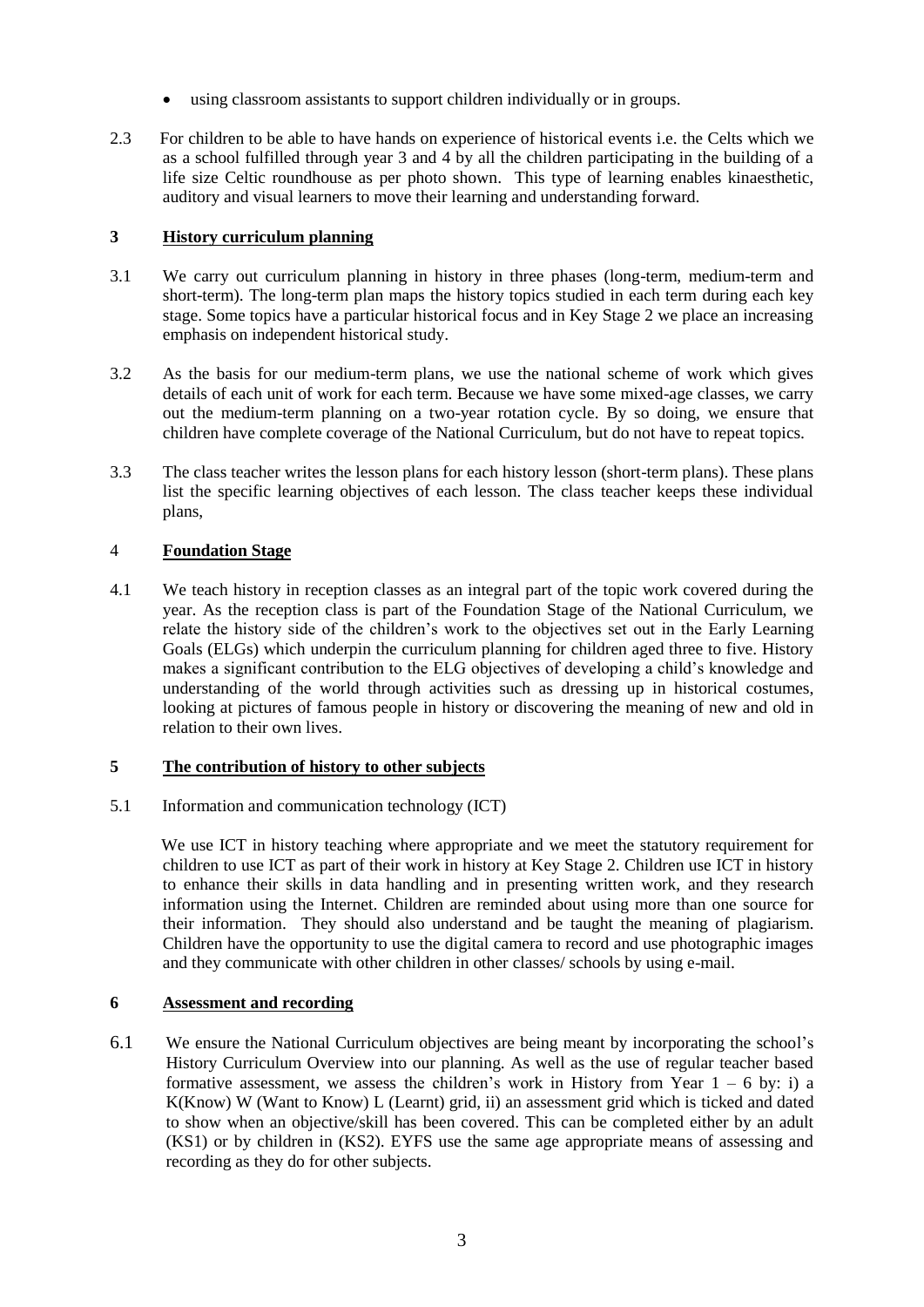- using classroom assistants to support children individually or in groups.
- 2.3 For children to be able to have hands on experience of historical events i.e. the Celts which we as a school fulfilled through year 3 and 4 by all the children participating in the building of a life size Celtic roundhouse as per photo shown. This type of learning enables kinaesthetic, auditory and visual learners to move their learning and understanding forward.

### **3 History curriculum planning**

- 3.1 We carry out curriculum planning in history in three phases (long-term, medium-term and short-term). The long-term plan maps the history topics studied in each term during each key stage. Some topics have a particular historical focus and in Key Stage 2 we place an increasing emphasis on independent historical study.
- 3.2 As the basis for our medium-term plans, we use the national scheme of work which gives details of each unit of work for each term. Because we have some mixed-age classes, we carry out the medium-term planning on a two-year rotation cycle. By so doing, we ensure that children have complete coverage of the National Curriculum, but do not have to repeat topics.
- 3.3 The class teacher writes the lesson plans for each history lesson (short-term plans). These plans list the specific learning objectives of each lesson. The class teacher keeps these individual plans,

# 4 **Foundation Stage**

4.1 We teach history in reception classes as an integral part of the topic work covered during the year. As the reception class is part of the Foundation Stage of the National Curriculum, we relate the history side of the children's work to the objectives set out in the Early Learning Goals (ELGs) which underpin the curriculum planning for children aged three to five. History makes a significant contribution to the ELG objectives of developing a child's knowledge and understanding of the world through activities such as dressing up in historical costumes, looking at pictures of famous people in history or discovering the meaning of new and old in relation to their own lives.

#### **5 The contribution of history to other subjects**

5.1 Information and communication technology (ICT)

We use ICT in history teaching where appropriate and we meet the statutory requirement for children to use ICT as part of their work in history at Key Stage 2. Children use ICT in history to enhance their skills in data handling and in presenting written work, and they research information using the Internet. Children are reminded about using more than one source for their information. They should also understand and be taught the meaning of plagiarism. Children have the opportunity to use the digital camera to record and use photographic images and they communicate with other children in other classes/ schools by using e-mail.

### **6 Assessment and recording**

6.1 We ensure the National Curriculum objectives are being meant by incorporating the school's History Curriculum Overview into our planning. As well as the use of regular teacher based formative assessment, we assess the children's work in History from Year  $1 - 6$  by: i) a K(Know) W (Want to Know) L (Learnt) grid, ii) an assessment grid which is ticked and dated to show when an objective/skill has been covered. This can be completed either by an adult (KS1) or by children in (KS2). EYFS use the same age appropriate means of assessing and recording as they do for other subjects.